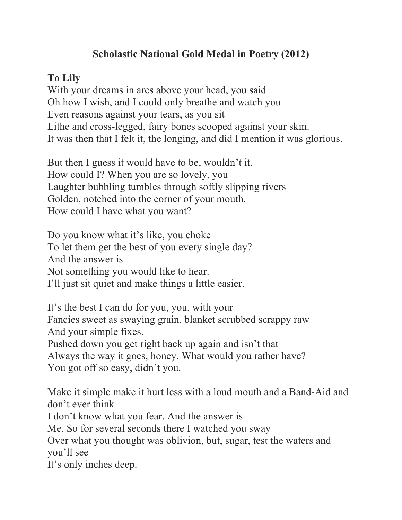## **Scholastic National Gold Medal in Poetry (2012)**

## **To Lily**

With your dreams in arcs above your head, you said Oh how I wish, and I could only breathe and watch you Even reasons against your tears, as you sit Lithe and cross-legged, fairy bones scooped against your skin. It was then that I felt it, the longing, and did I mention it was glorious.

But then I guess it would have to be, wouldn't it. How could I? When you are so lovely, you Laughter bubbling tumbles through softly slipping rivers Golden, notched into the corner of your mouth. How could I have what you want?

Do you know what it's like, you choke To let them get the best of you every single day? And the answer is Not something you would like to hear. I'll just sit quiet and make things a little easier.

It's the best I can do for you, you, with your Fancies sweet as swaying grain, blanket scrubbed scrappy raw And your simple fixes. Pushed down you get right back up again and isn't that Always the way it goes, honey. What would you rather have? You got off so easy, didn't you.

Make it simple make it hurt less with a loud mouth and a Band-Aid and don't ever think I don't know what you fear. And the answer is Me. So for several seconds there I watched you sway Over what you thought was oblivion, but, sugar, test the waters and you'll see It's only inches deep.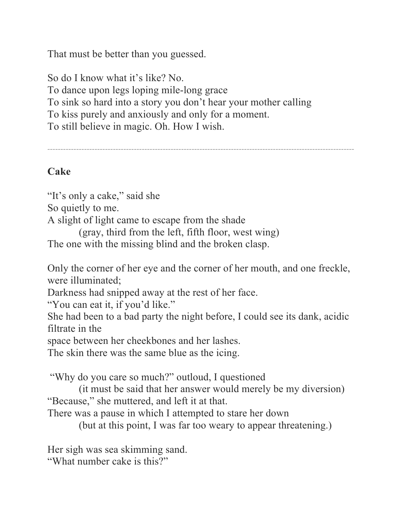That must be better than you guessed.

So do I know what it's like? No. To dance upon legs loping mile-long grace To sink so hard into a story you don't hear your mother calling To kiss purely and anxiously and only for a moment. To still believe in magic. Oh. How I wish.

*---------------------------------------------------------------------------------------------------------------------*

## **Cake**

"It's only a cake," said she So quietly to me. A slight of light came to escape from the shade (gray, third from the left, fifth floor, west wing) The one with the missing blind and the broken clasp.

Only the corner of her eye and the corner of her mouth, and one freckle, were illuminated;

Darkness had snipped away at the rest of her face.

"You can eat it, if you'd like."

She had been to a bad party the night before, I could see its dank, acidic filtrate in the

space between her cheekbones and her lashes.

The skin there was the same blue as the icing.

"Why do you care so much?" outloud, I questioned

(it must be said that her answer would merely be my diversion) "Because," she muttered, and left it at that.

There was a pause in which I attempted to stare her down

(but at this point, I was far too weary to appear threatening.)

Her sigh was sea skimming sand. "What number cake is this?"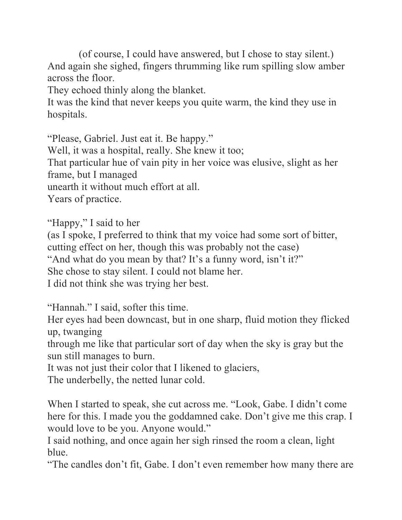(of course, I could have answered, but I chose to stay silent.) And again she sighed, fingers thrumming like rum spilling slow amber across the floor.

They echoed thinly along the blanket.

It was the kind that never keeps you quite warm, the kind they use in hospitals.

"Please, Gabriel. Just eat it. Be happy." Well, it was a hospital, really. She knew it too; That particular hue of vain pity in her voice was elusive, slight as her frame, but I managed unearth it without much effort at all. Years of practice.

"Happy," I said to her

(as I spoke, I preferred to think that my voice had some sort of bitter, cutting effect on her, though this was probably not the case) "And what do you mean by that? It's a funny word, isn't it?" She chose to stay silent. I could not blame her. I did not think she was trying her best.

"Hannah." I said, softer this time.

Her eyes had been downcast, but in one sharp, fluid motion they flicked up, twanging

through me like that particular sort of day when the sky is gray but the sun still manages to burn.

It was not just their color that I likened to glaciers,

The underbelly, the netted lunar cold.

When I started to speak, she cut across me. "Look, Gabe. I didn't come here for this. I made you the goddamned cake. Don't give me this crap. I would love to be you. Anyone would."

I said nothing, and once again her sigh rinsed the room a clean, light blue.

"The candles don't fit, Gabe. I don't even remember how many there are